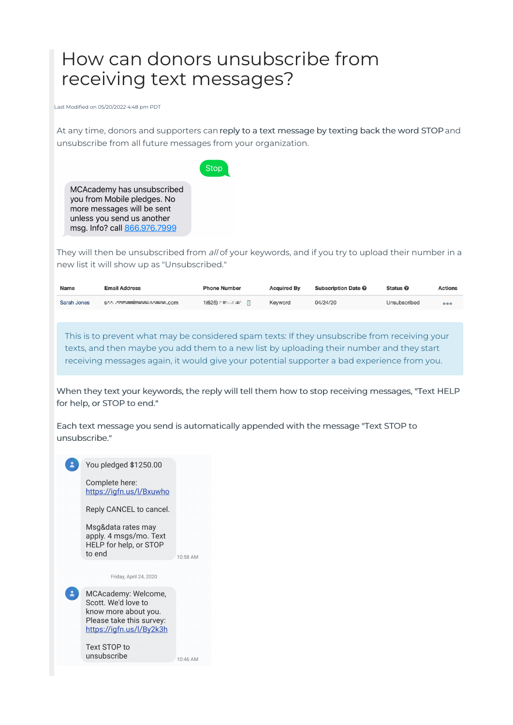## How can donors unsubscribe from receiving text messages?

Last Modified on 05/20/2022 4:48 pm PDT

At any time, donors and supporters can reply to a text message by texting back the word STOP and unsubscribe from all future messages from your organization.

Stop

MCAcademy has unsubscribed you from Mobile pledges. No more messages will be sent unless you send us another msg. Info? call 866.976.7999

They will then be unsubscribed from all of your keywords, and if you try to upload their number in a new list it will show up as "Unsubscribed."

| Name        | <b>Email Address</b>         | <b>Phone Number</b>                                                  | <b>Acquired By</b> | <b>Subscription Date O</b> | Status <sup>O</sup> | <b>Actions</b> |
|-------------|------------------------------|----------------------------------------------------------------------|--------------------|----------------------------|---------------------|----------------|
| Sarah Jones | Shi'll committee with a com- | $1(626)$ $\blacksquare$ $\blacksquare$ $\blacksquare$ $\blacksquare$ | Keyword            | 04/24/20                   | Unsubscribed        | 000            |

This is to prevent what may be considered spam texts: If they unsubscribe from receiving your texts, and then maybe you add them to a new list by uploading their number and they start receiving messages again, it would give your potential supporter a bad experience from you.

When they text your keywords, the reply will tell them how to stop receiving messages, "Text HELP for help, or STOP to end."

Each text message you send is automatically appended with the message "Text STOP to unsubscribe."